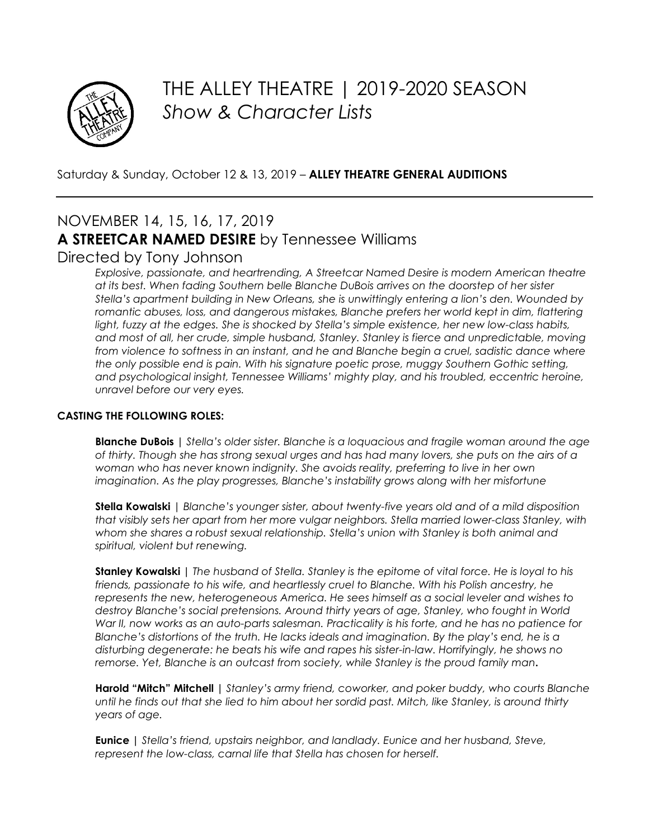

THE ALLEY THEATRE | 2019-2020 SEASON *Show & Character Lists*

Saturday & Sunday, October 12 & 13, 2019 – **ALLEY THEATRE GENERAL AUDITIONS**

## NOVEMBER 14, 15, 16, 17, 2019 **A STREETCAR NAMED DESIRE** by Tennessee Williams

## Directed by Tony Johnson

*Explosive, passionate, and heartrending, A Streetcar Named Desire is modern American theatre at its best. When fading Southern belle Blanche DuBois arrives on the doorstep of her sister Stella's apartment building in New Orleans, she is unwittingly entering a lion's den. Wounded by romantic abuses, loss, and dangerous mistakes, Blanche prefers her world kept in dim, flattering light, fuzzy at the edges. She is shocked by Stella's simple existence, her new low-class habits, and most of all, her crude, simple husband, Stanley. Stanley is fierce and unpredictable, moving from violence to softness in an instant, and he and Blanche begin a cruel, sadistic dance where the only possible end is pain. With his signature poetic prose, muggy Southern Gothic setting, and psychological insight, Tennessee Williams' mighty play, and his troubled, eccentric heroine, unravel before our very eyes.*

#### **CASTING THE FOLLOWING ROLES:**

**Blanche DuBois |** *Stella's older sister. Blanche is a loquacious and fragile woman around the age of thirty. Though she has strong sexual urges and has had many lovers, she puts on the airs of a woman who has never known indignity. She avoids reality, preferring to live in her own imagination. As the play progresses, Blanche's instability grows along with her misfortune*

**Stella Kowalski** | *Blanche's younger sister, about twenty-five years old and of a mild disposition that visibly sets her apart from her more vulgar neighbors. Stella married lower-class Stanley, with whom she shares a robust sexual relationship. Stella's union with Stanley is both animal and spiritual, violent but renewing.* 

**Stanley Kowalski |** *The husband of Stella. Stanley is the epitome of vital force. He is loyal to his friends, passionate to his wife, and heartlessly cruel to Blanche. With his Polish ancestry, he represents the new, heterogeneous America. He sees himself as a social leveler and wishes to destroy Blanche's social pretensions. Around thirty years of age, Stanley, who fought in World War II, now works as an auto-parts salesman. Practicality is his forte, and he has no patience for Blanche's distortions of the truth. He lacks ideals and imagination. By the play's end, he is a disturbing degenerate: he beats his wife and rapes his sister-in-law. Horrifyingly, he shows no remorse. Yet, Blanche is an outcast from society, while Stanley is the proud family man***.**

**Harold "Mitch" Mitchell |** *Stanley's army friend, coworker, and poker buddy, who courts Blanche until he finds out that she lied to him about her sordid past. Mitch, like Stanley, is around thirty years of age.*

**Eunice |** *Stella's friend, upstairs neighbor, and landlady. Eunice and her husband, Steve, represent the low-class, carnal life that Stella has chosen for herself.*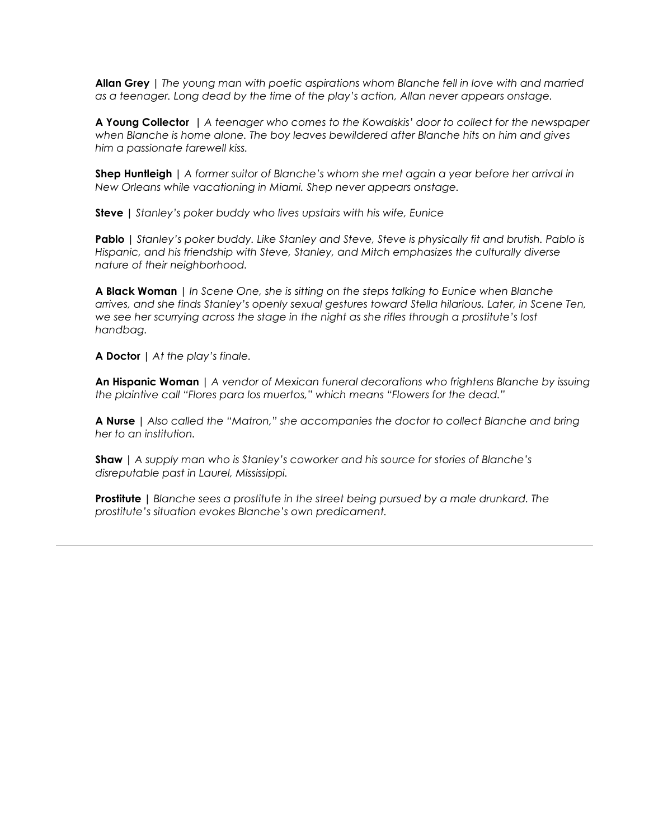**Allan Grey |** *The young man with poetic aspirations whom Blanche fell in love with and married as a teenager. Long dead by the time of the play's action, Allan never appears onstage.*

**A Young Collector |** *A teenager who comes to the Kowalskis' door to collect for the newspaper when Blanche is home alone. The boy leaves bewildered after Blanche hits on him and gives him a passionate farewell kiss.*

**Shep Huntleigh |** *A former suitor of Blanche's whom she met again a year before her arrival in New Orleans while vacationing in Miami. Shep never appears onstage.*

**Steve |** *Stanley's poker buddy who lives upstairs with his wife, Eunice*

**Pablo |** *Stanley's poker buddy. Like Stanley and Steve, Steve is physically fit and brutish. Pablo is Hispanic, and his friendship with Steve, Stanley, and Mitch emphasizes the culturally diverse nature of their neighborhood.*

**A Black Woman |** *In Scene One, she is sitting on the steps talking to Eunice when Blanche arrives, and she finds Stanley's openly sexual gestures toward Stella hilarious. Later, in Scene Ten, we see her scurrying across the stage in the night as she rifles through a prostitute's lost handbag.*

**A Doctor |** *At the play's finale.*

**An Hispanic Woman |** *A vendor of Mexican funeral decorations who frightens Blanche by issuing the plaintive call "Flores para los muertos," which means "Flowers for the dead."*

**A Nurse |** *Also called the "Matron," she accompanies the doctor to collect Blanche and bring her to an institution.* 

**Shaw |** *A supply man who is Stanley's coworker and his source for stories of Blanche's disreputable past in Laurel, Mississippi.* 

**Prostitute |** *Blanche sees a prostitute in the street being pursued by a male drunkard. The prostitute's situation evokes Blanche's own predicament.*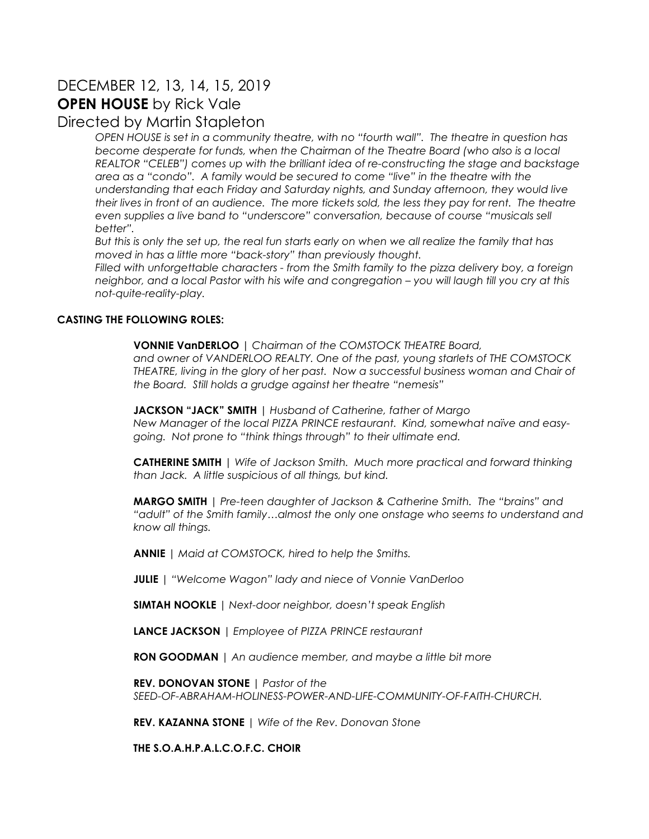# DECEMBER 12, 13, 14, 15, 2019 **OPEN HOUSE** by Rick Vale

## Directed by Martin Stapleton

*OPEN HOUSE is set in a community theatre, with no "fourth wall". The theatre in question has become desperate for funds, when the Chairman of the Theatre Board (who also is a local REALTOR "CELEB") comes up with the brilliant idea of re-constructing the stage and backstage*  area as a "condo". A family would be secured to come "live" in the theatre with the *understanding that each Friday and Saturday nights, and Sunday afternoon, they would live their lives in front of an audience. The more tickets sold, the less they pay for rent. The theatre even supplies a live band to "underscore" conversation, because of course "musicals sell better".*

*But this is only the set up, the real fun starts early on when we all realize the family that has moved in has a little more "back-story" than previously thought.*

*Filled with unforgettable characters - from the Smith family to the pizza delivery boy, a foreign neighbor, and a local Pastor with his wife and congregation – you will laugh till you cry at this not-quite-reality-play.*

#### **CASTING THE FOLLOWING ROLES:**

**VONNIE VanDERLOO** | *Chairman of the COMSTOCK THEATRE Board, and owner of VANDERLOO REALTY. One of the past, young starlets of THE COMSTOCK THEATRE, living in the glory of her past. Now a successful business woman and Chair of the Board. Still holds a grudge against her theatre "nemesis"*

**JACKSON "JACK" SMITH** | *Husband of Catherine, father of Margo New Manager of the local PIZZA PRINCE restaurant. Kind, somewhat naïve and easygoing. Not prone to "think things through" to their ultimate end.*

**CATHERINE SMITH** | *Wife of Jackson Smith. Much more practical and forward thinking than Jack. A little suspicious of all things, but kind.*

**MARGO SMITH** | *Pre-teen daughter of Jackson & Catherine Smith. The "brains" and "adult" of the Smith family…almost the only one onstage who seems to understand and know all things.*

**ANNIE** | *Maid at COMSTOCK, hired to help the Smiths.*

**JULIE** | *"Welcome Wagon" lady and niece of Vonnie VanDerloo*

**SIMTAH NOOKLE** | *Next-door neighbor, doesn't speak English*

**LANCE JACKSON** | *Employee of PIZZA PRINCE restaurant*

**RON GOODMAN** | *An audience member, and maybe a little bit more*

**REV. DONOVAN STONE** | *Pastor of the SEED-OF-ABRAHAM-HOLINESS-POWER-AND-LIFE-COMMUNITY-OF-FAITH-CHURCH.*

**REV. KAZANNA STONE** | *Wife of the Rev. Donovan Stone*

**THE S.O.A.H.P.A.L.C.O.F.C. CHOIR**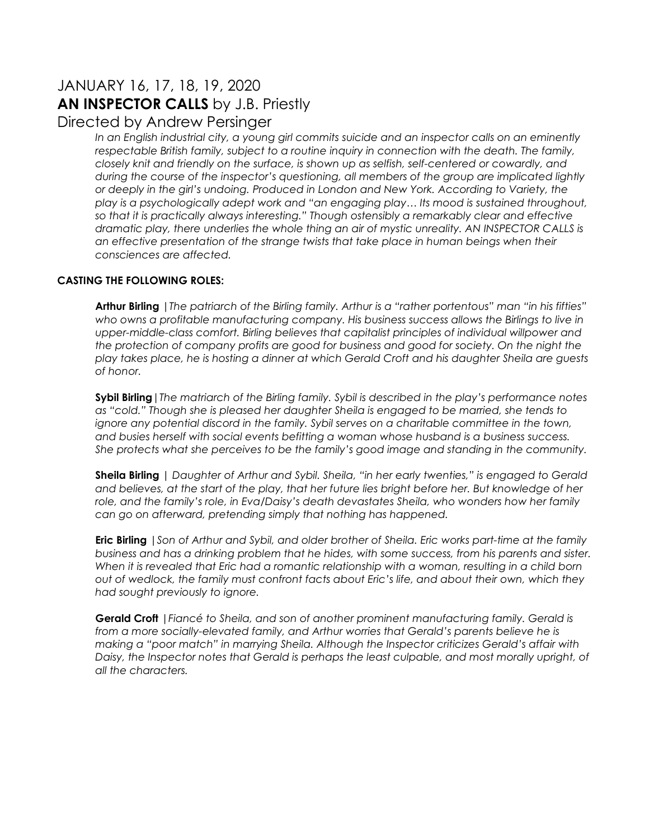# JANUARY 16, 17, 18, 19, 2020 **AN INSPECTOR CALLS** by J.B. Priestly

## Directed by Andrew Persinger

*In an English industrial city, a young girl commits suicide and an inspector calls on an eminently respectable British family, subject to a routine inquiry in connection with the death. The family, closely knit and friendly on the surface, is shown up as selfish, self-centered or cowardly, and during the course of the inspector's questioning, all members of the group are implicated lightly or deeply in the girl's undoing. Produced in London and New York. According to Variety, the play is a psychologically adept work and "an engaging play… Its mood is sustained throughout, so that it is practically always interesting." Though ostensibly a remarkably clear and effective dramatic play, there underlies the whole thing an air of mystic unreality. AN INSPECTOR CALLS is an effective presentation of the strange twists that take place in human beings when their consciences are affected.*

#### **CASTING THE FOLLOWING ROLES:**

**Arthur Birling** |*The patriarch of the Birling family. Arthur is a "rather portentous" man "in his fifties"*  who owns a profitable manufacturing company. His business success allows the Birlings to live in upper-middle-class comfort. Birling believes that capitalist principles of individual willpower and the protection of company profits are good for business and good for society. On the night the *play takes place, he is hosting a dinner at which Gerald Croft and his daughter Sheila are guests of honor.*

**Sybil Birling**|*The matriarch of the Birling family. Sybil is described in the play's performance notes as "cold." Though she is pleased her daughter Sheila is engaged to be married, she tends to ignore any potential discord in the family. Sybil serves on a charitable committee in the town, and busies herself with social events befitting a woman whose husband is a business success. She protects what she perceives to be the family's good image and standing in the community.*

**Sheila Birling** | *Daughter of Arthur and Sybil. Sheila, "in her early twenties," is engaged to Gerald and believes, at the start of the play, that her future lies bright before her. But knowledge of her*  role, and the family's role, in Eva/Daisy's death devastates Sheila, who wonders how her family *can go on afterward, pretending simply that nothing has happened.*

**Eric Birling** |*Son of Arthur and Sybil, and older brother of Sheila. Eric works part-time at the family business and has a drinking problem that he hides, with some success, from his parents and sister.*  When it is revealed that Eric had a romantic relationship with a woman, resulting in a child born *out of wedlock, the family must confront facts about Eric's life, and about their own, which they had sought previously to ignore.*

**Gerald Croft** |*Fiancé to Sheila, and son of another prominent manufacturing family. Gerald is from a more socially-elevated family, and Arthur worries that Gerald's parents believe he is making a "poor match" in marrying Sheila. Although the Inspector criticizes Gerald's affair with Daisy, the Inspector notes that Gerald is perhaps the least culpable, and most morally upright, of all the characters.*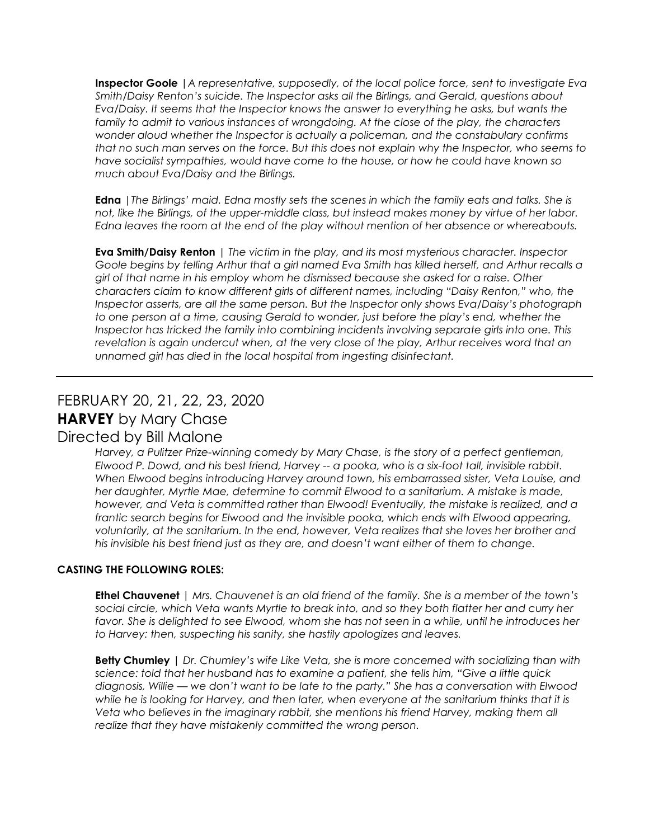**Inspector Goole** |*A representative, supposedly, of the local police force, sent to investigate Eva Smith/Daisy Renton's suicide. The Inspector asks all the Birlings, and Gerald, questions about Eva/Daisy. It seems that the Inspector knows the answer to everything he asks, but wants the*  family to admit to various instances of wrongdoing. At the close of the play, the characters *wonder aloud whether the Inspector is actually a policeman, and the constabulary confirms that no such man serves on the force. But this does not explain why the Inspector, who seems to have socialist sympathies, would have come to the house, or how he could have known so much about Eva/Daisy and the Birlings.*

**Edna** |*The Birlings' maid. Edna mostly sets the scenes in which the family eats and talks. She is not, like the Birlings, of the upper-middle class, but instead makes money by virtue of her labor. Edna leaves the room at the end of the play without mention of her absence or whereabouts.*

**Eva Smith/Daisy Renton** | *The victim in the play, and its most mysterious character. Inspector Goole begins by telling Arthur that a girl named Eva Smith has killed herself, and Arthur recalls a girl of that name in his employ whom he dismissed because she asked for a raise. Other characters claim to know different girls of different names, including "Daisy Renton," who, the Inspector asserts, are all the same person. But the Inspector only shows Eva/Daisy's photograph to one person at a time, causing Gerald to wonder, just before the play's end, whether the Inspector has tricked the family into combining incidents involving separate girls into one. This*  revelation is again undercut when, at the very close of the play, Arthur receives word that an *unnamed girl has died in the local hospital from ingesting disinfectant.*

# FEBRUARY 20, 21, 22, 23, 2020 **HARVEY** by Mary Chase

### Directed by Bill Malone

*Harvey, a Pulitzer Prize-winning comedy by Mary Chase, is the story of a perfect gentleman, Elwood P. Dowd, and his best friend, Harvey -- a pooka, who is a six-foot tall, invisible rabbit. When Elwood begins introducing Harvey around town, his embarrassed sister, Veta Louise, and her daughter, Myrtle Mae, determine to commit Elwood to a sanitarium. A mistake is made, however, and Veta is committed rather than Elwood! Eventually, the mistake is realized, and a*  frantic search begins for Elwood and the invisible pooka, which ends with Elwood appearing, *voluntarily, at the sanitarium. In the end, however, Veta realizes that she loves her brother and his invisible his best friend just as they are, and doesn't want either of them to change.*

#### **CASTING THE FOLLOWING ROLES:**

**Ethel Chauvenet** | *Mrs. Chauvenet is an old friend of the family. She is a member of the town's social circle, which Veta wants Myrtle to break into, and so they both flatter her and curry her favor. She is delighted to see Elwood, whom she has not seen in a while, until he introduces her to Harvey: then, suspecting his sanity, she hastily apologizes and leaves.*

**Betty Chumley** | *Dr. Chumley's wife Like Veta, she is more concerned with socializing than with science: told that her husband has to examine a patient, she tells him, "Give a little quick diagnosis, Willie — we don't want to be late to the party." She has a conversation with Elwood while he is looking for Harvey, and then later, when everyone at the sanitarium thinks that it is*  Veta who believes in the imaginary rabbit, she mentions his friend Harvey, making them all *realize that they have mistakenly committed the wrong person.*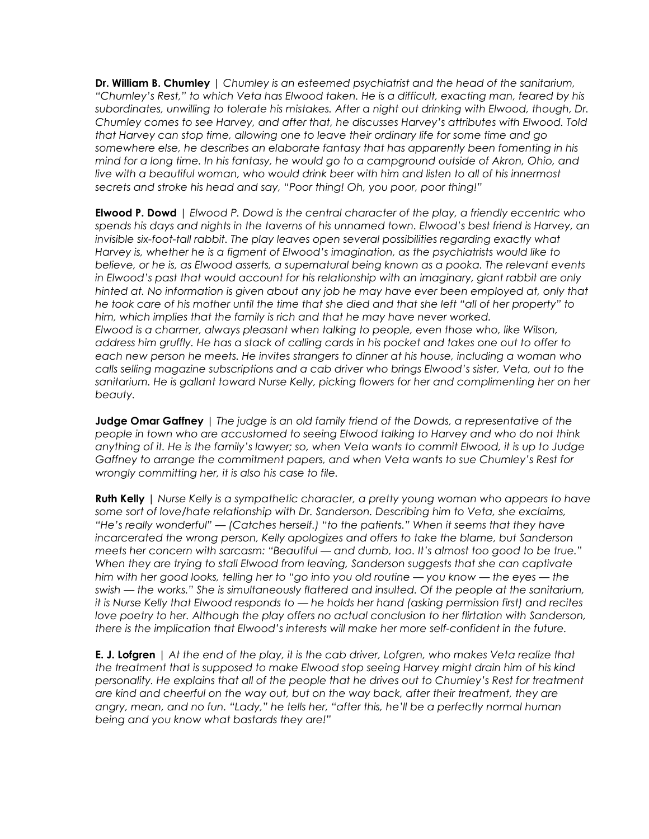**Dr. William B. Chumley** | *Chumley is an esteemed psychiatrist and the head of the sanitarium, "Chumley's Rest," to which Veta has Elwood taken. He is a difficult, exacting man, feared by his subordinates, unwilling to tolerate his mistakes. After a night out drinking with Elwood, though, Dr. Chumley comes to see Harvey, and after that, he discusses Harvey's attributes with Elwood. Told that Harvey can stop time, allowing one to leave their ordinary life for some time and go somewhere else, he describes an elaborate fantasy that has apparently been fomenting in his mind for a long time. In his fantasy, he would go to a campground outside of Akron, Ohio, and live with a beautiful woman, who would drink beer with him and listen to all of his innermost secrets and stroke his head and say, "Poor thing! Oh, you poor, poor thing!"*

**Elwood P. Dowd** | *Elwood P. Dowd is the central character of the play, a friendly eccentric who spends his days and nights in the taverns of his unnamed town. Elwood's best friend is Harvey, an*  invisible six-foot-tall rabbit. The play leaves open several possibilities regarding exactly what *Harvey is, whether he is a figment of Elwood's imagination, as the psychiatrists would like to believe, or he is, as Elwood asserts, a supernatural being known as a pooka. The relevant events in Elwood's past that would account for his relationship with an imaginary, giant rabbit are only hinted at. No information is given about any job he may have ever been employed at, only that he took care of his mother until the time that she died and that she left "all of her property" to him, which implies that the family is rich and that he may have never worked. Elwood is a charmer, always pleasant when talking to people, even those who, like Wilson, address him gruffly. He has a stack of calling cards in his pocket and takes one out to offer to each new person he meets. He invites strangers to dinner at his house, including a woman who calls selling magazine subscriptions and a cab driver who brings Elwood's sister, Veta, out to the*  sanitarium. He is gallant toward Nurse Kelly, picking flowers for her and complimenting her on her *beauty.*

**Judge Omar Gaffney** *| The judge is an old family friend of the Dowds, a representative of the people in town who are accustomed to seeing Elwood talking to Harvey and who do not think anything of it. He is the family's lawyer; so, when Veta wants to commit Elwood, it is up to Judge Gaffney to arrange the commitment papers, and when Veta wants to sue Chumley's Rest for wrongly committing her, it is also his case to file.*

**Ruth Kelly** | *Nurse Kelly is a sympathetic character, a pretty young woman who appears to have some sort of love/hate relationship with Dr. Sanderson. Describing him to Veta, she exclaims, "He's really wonderful" — (Catches herself.) "to the patients." When it seems that they have incarcerated the wrong person, Kelly apologizes and offers to take the blame, but Sanderson meets her concern with sarcasm: "Beautiful — and dumb, too. It's almost too good to be true." When they are trying to stall Elwood from leaving, Sanderson suggests that she can captivate him with her good looks, telling her to "go into you old routine — you know — the eyes — the swish — the works." She is simultaneously flattered and insulted. Of the people at the sanitarium, it is Nurse Kelly that Elwood responds to — he holds her hand (asking permission first) and recites*  love poetry to her. Although the play offers no actual conclusion to her flirtation with Sanderson, *there is the implication that Elwood's interests will make her more self-confident in the future.*

**E. J. Lofgren** | *At the end of the play, it is the cab driver, Lofgren, who makes Veta realize that the treatment that is supposed to make Elwood stop seeing Harvey might drain him of his kind personality. He explains that all of the people that he drives out to Chumley's Rest for treatment are kind and cheerful on the way out, but on the way back, after their treatment, they are angry, mean, and no fun. "Lady," he tells her, "after this, he'll be a perfectly normal human being and you know what bastards they are!"*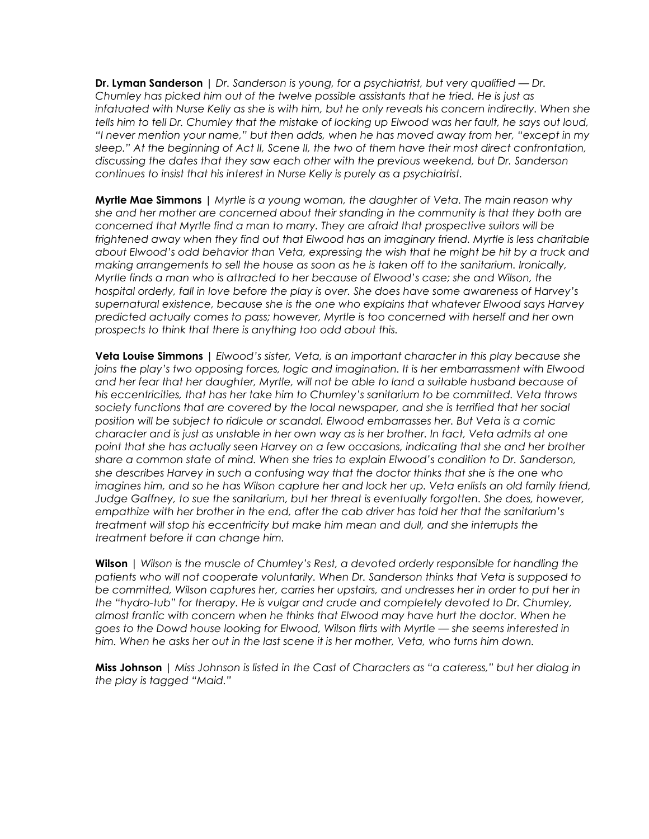**Dr. Lyman Sanderson** | *Dr. Sanderson is young, for a psychiatrist, but very qualified — Dr. Chumley has picked him out of the twelve possible assistants that he tried. He is just as infatuated with Nurse Kelly as she is with him, but he only reveals his concern indirectly. When she*  tells him to tell Dr. Chumley that the mistake of locking up Elwood was her fault, he says out loud, *"I never mention your name," but then adds, when he has moved away from her, "except in my sleep." At the beginning of Act II, Scene II, the two of them have their most direct confrontation, discussing the dates that they saw each other with the previous weekend, but Dr. Sanderson continues to insist that his interest in Nurse Kelly is purely as a psychiatrist.*

**Myrtle Mae Simmons** | *Myrtle is a young woman, the daughter of Veta. The main reason why she and her mother are concerned about their standing in the community is that they both are concerned that Myrtle find a man to marry. They are afraid that prospective suitors will be*  frightened away when they find out that Elwood has an imaginary friend. Myrtle is less charitable *about Elwood's odd behavior than Veta, expressing the wish that he might be hit by a truck and making arrangements to sell the house as soon as he is taken off to the sanitarium. Ironically, Myrtle finds a man who is attracted to her because of Elwood's case; she and Wilson, the hospital orderly, fall in love before the play is over. She does have some awareness of Harvey's supernatural existence, because she is the one who explains that whatever Elwood says Harvey predicted actually comes to pass; however, Myrtle is too concerned with herself and her own prospects to think that there is anything too odd about this.*

**Veta Louise Simmons** | *Elwood's sister, Veta, is an important character in this play because she joins the play's two opposing forces, logic and imagination. It is her embarrassment with Elwood and her fear that her daughter, Myrtle, will not be able to land a suitable husband because of his eccentricities, that has her take him to Chumley's sanitarium to be committed. Veta throws society functions that are covered by the local newspaper, and she is terrified that her social position will be subject to ridicule or scandal. Elwood embarrasses her. But Veta is a comic character and is just as unstable in her own way as is her brother. In fact, Veta admits at one point that she has actually seen Harvey on a few occasions, indicating that she and her brother share a common state of mind. When she tries to explain Elwood's condition to Dr. Sanderson, she describes Harvey in such a confusing way that the doctor thinks that she is the one who imagines him, and so he has Wilson capture her and lock her up. Veta enlists an old family friend, Judge Gaffney, to sue the sanitarium, but her threat is eventually forgotten. She does, however, empathize with her brother in the end, after the cab driver has told her that the sanitarium's treatment will stop his eccentricity but make him mean and dull, and she interrupts the treatment before it can change him.*

**Wilson** | *Wilson is the muscle of Chumley's Rest, a devoted orderly responsible for handling the patients who will not cooperate voluntarily. When Dr. Sanderson thinks that Veta is supposed to be committed, Wilson captures her, carries her upstairs, and undresses her in order to put her in the "hydro-tub" for therapy. He is vulgar and crude and completely devoted to Dr. Chumley, almost frantic with concern when he thinks that Elwood may have hurt the doctor. When he goes to the Dowd house looking for Elwood, Wilson flirts with Myrtle — she seems interested in him. When he asks her out in the last scene it is her mother, Veta, who turns him down.*

**Miss Johnson** | *Miss Johnson is listed in the Cast of Characters as "a cateress," but her dialog in the play is tagged "Maid."*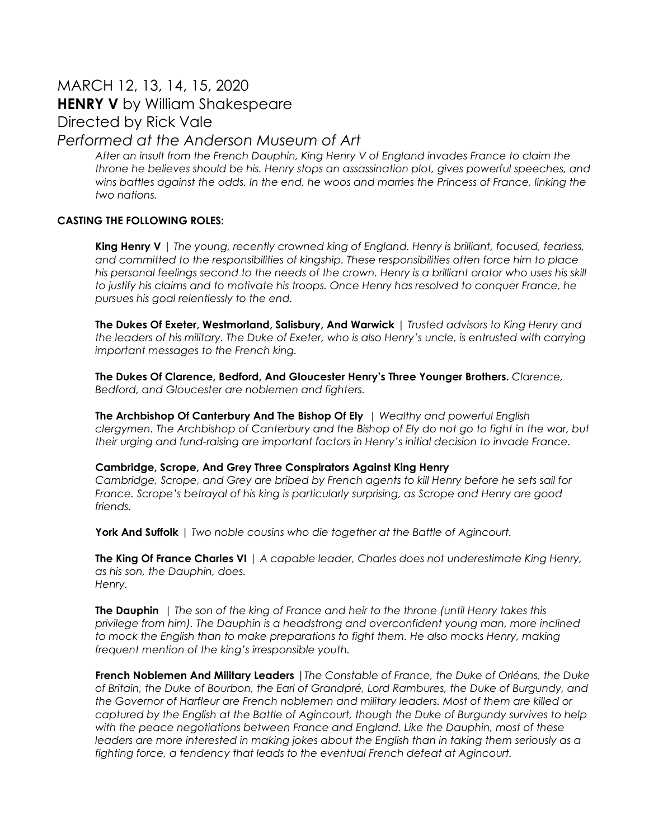# MARCH 12, 13, 14, 15, 2020 **HENRY V** by William Shakespeare Directed by Rick Vale

## *Performed at the Anderson Museum of Art*

*After an insult from the French Dauphin, King Henry V of England invades France to claim the throne he believes should be his. Henry stops an assassination plot, gives powerful speeches, and wins battles against the odds. In the end, he woos and marries the Princess of France, linking the two nations.*

#### **CASTING THE FOLLOWING ROLES:**

**King Henry V** | *The young, recently crowned king of England. Henry is brilliant, focused, fearless, and committed to the responsibilities of kingship. These responsibilities often force him to place his personal feelings second to the needs of the crown. Henry is a brilliant orator who uses his skill*  to justify his claims and to motivate his troops. Once Henry has resolved to conquer France, he *pursues his goal relentlessly to the end.*

**The Dukes Of Exeter, Westmorland, Salisbury, And Warwick** | *Trusted advisors to King Henry and the leaders of his military. The Duke of Exeter, who is also Henry's uncle, is entrusted with carrying important messages to the French king.*

**The Dukes Of Clarence, Bedford, And Gloucester Henry's Three Younger Brothers.** *Clarence, Bedford, and Gloucester are noblemen and fighters.*

**The Archbishop Of Canterbury And The Bishop Of Ely** | *Wealthy and powerful English clergymen. The Archbishop of Canterbury and the Bishop of Ely do not go to fight in the war, but their urging and fund-raising are important factors in Henry's initial decision to invade France.*

#### **Cambridge, Scrope, And Grey Three Conspirators Against King Henry**

*Cambridge, Scrope, and Grey are bribed by French agents to kill Henry before he sets sail for France. Scrope's betrayal of his king is particularly surprising, as Scrope and Henry are good friends.*

**York And Suffolk** | *Two noble cousins who die together at the Battle of Agincourt.*

**The King Of France Charles VI** | *A capable leader, Charles does not underestimate King Henry, as his son, the Dauphin, does. Henry.*

**The Dauphin** | *The son of the king of France and heir to the throne (until Henry takes this privilege from him). The Dauphin is a headstrong and overconfident young man, more inclined*  to mock the English than to make preparations to fight them. He also mocks Henry, making *frequent mention of the king's irresponsible youth.*

**French Noblemen And Military Leaders** |*The Constable of France, the Duke of Orléans, the Duke of Britain, the Duke of Bourbon, the Earl of Grandpré, Lord Rambures, the Duke of Burgundy, and the Governor of Harfleur are French noblemen and military leaders. Most of them are killed or captured by the English at the Battle of Agincourt, though the Duke of Burgundy survives to help with the peace negotiations between France and England. Like the Dauphin, most of these leaders are more interested in making jokes about the English than in taking them seriously as a fighting force, a tendency that leads to the eventual French defeat at Agincourt.*